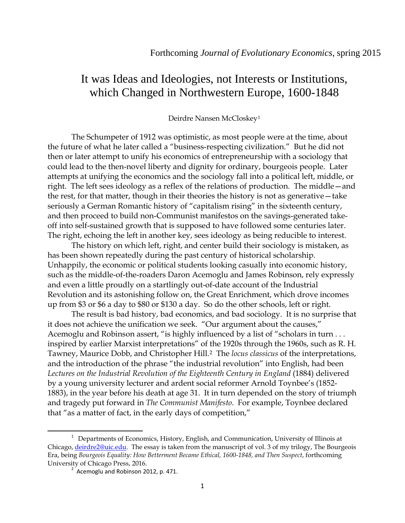## It was Ideas and Ideologies, not Interests or Institutions, which Changed in Northwestern Europe, 1600-1848

## Deirdre Nansen McCloskey[1](#page-0-0)

The Schumpeter of 1912 was optimistic, as most people were at the time, about the future of what he later called a "business-respecting civilization." But he did not then or later attempt to unify his economics of entrepreneurship with a sociology that could lead to the then-novel liberty and dignity for ordinary, bourgeois people. Later attempts at unifying the economics and the sociology fall into a political left, middle, or right. The left sees ideology as a reflex of the relations of production. The middle—and the rest, for that matter, though in their theories the history is not as generative—take seriously a German Romantic history of "capitalism rising" in the sixteenth century, and then proceed to build non-Communist manifestos on the savings-generated takeoff into self-sustained growth that is supposed to have followed some centuries later. The right, echoing the left in another key, sees ideology as being reducible to interest.

The history on which left, right, and center build their sociology is mistaken, as has been shown repeatedly during the past century of historical scholarship. Unhappily, the economic or political students looking casually into economic history, such as the middle-of-the-roaders Daron Acemoglu and James Robinson, rely expressly and even a little proudly on a startlingly out-of-date account of the Industrial Revolution and its astonishing follow on, the Great Enrichment, which drove incomes up from \$3 or \$6 a day to \$80 or \$130 a day. So do the other schools, left or right.

The result is bad history, bad economics, and bad sociology. It is no surprise that it does not achieve the unification we seek. "Our argument about the causes," Acemoglu and Robinson assert, "is highly influenced by a list of "scholars in turn . . . inspired by earlier Marxist interpretations" of the 1920s through the 1960s, such as R. H. Tawney, Maurice Dobb, and Christopher Hill.[2](#page-0-1) The *locus classicus* of the interpretations, and the introduction of the phrase "the industrial revolution" into English, had been Lectures on the Industrial Revolution of the Eighteenth Century in England (1884) delivered by a young university lecturer and ardent social reformer Arnold Toynbee's (1852- 1883), in the year before his death at age 31. It in turn depended on the story of triumph and tragedy put forward in *The Communist Manifesto*. For example, Toynbee declared that "as a matter of fact, in the early days of competition,"

<span id="page-0-1"></span><span id="page-0-0"></span><sup>&</sup>lt;u>1</u> <sup>1</sup> Departments of Economics, History, English, and Communication, University of Illinois at Chicago, [deirdre2@uic.edu.](mailto:deirdre2@uic.edu) The essay is taken from the manuscript of vol. 3 of my trilogy, The Bourgeois Era, being *Bourgeois Equality: How Betterment Became Ethical, 1600-1848, and Then Suspect*, forthcoming University of Chicago Press, 2016.<br><sup>2</sup> Acemoglu and Robinson 2012, p. 471.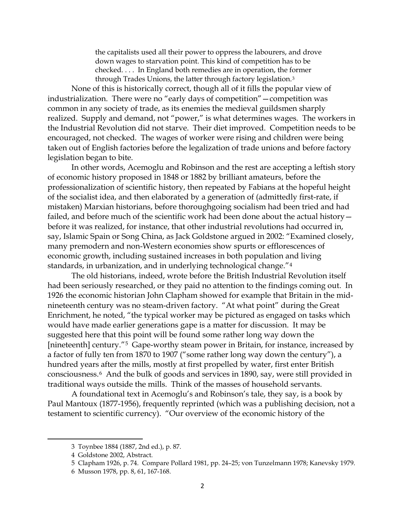the capitalists used all their power to oppress the labourers, and drove down wages to starvation point. This kind of competition has to be checked. . . . In England both remedies are in operation, the former through Trades Unions, the latter through factory legislation.[3](#page-1-0)

None of this is historically correct, though all of it fills the popular view of industrialization. There were no "early days of competition"—competition was common in any society of trade, as its enemies the medieval guildsmen sharply realized. Supply and demand, not "power," is what determines wages. The workers in the Industrial Revolution did not starve. Their diet improved. Competition needs to be encouraged, not checked. The wages of worker were rising and children were being taken out of English factories before the legalization of trade unions and before factory legislation began to bite.

In other words, Acemoglu and Robinson and the rest are accepting a leftish story of economic history proposed in 1848 or 1882 by brilliant amateurs, before the professionalization of scientific history, then repeated by Fabians at the hopeful height of the socialist idea, and then elaborated by a generation of (admittedly first-rate, if mistaken) Marxian historians, before thoroughgoing socialism had been tried and had failed, and before much of the scientific work had been done about the actual history before it was realized, for instance, that other industrial revolutions had occurred in, say, Islamic Spain or Song China, as Jack Goldstone argued in 2002: "Examined closely, many premodern and non-Western economies show spurts or efflorescences of economic growth, including sustained increases in both population and living standards, in urbanization, and in underlying technological change."[4](#page-1-1) 

The old historians, indeed, wrote before the British Industrial Revolution itself had been seriously researched, or they paid no attention to the findings coming out. In 1926 the economic historian John Clapham showed for example that Britain in the midnineteenth century was no steam-driven factory. "At what point" during the Great Enrichment, he noted, "the typical worker may be pictured as engaged on tasks which would have made earlier generations gape is a matter for discussion. It may be suggested here that this point will be found some rather long way down the [nineteenth] century."[5](#page-1-2) Gape-worthy steam power in Britain, for instance, increased by a factor of fully ten from 1870 to 1907 ("some rather long way down the century"), a hundred years after the mills, mostly at first propelled by water, first enter British consciousness.[6](#page-1-3) And the bulk of goods and services in 1890, say, were still provided in traditional ways outside the mills. Think of the masses of household servants.

A foundational text in Acemoglu's and Robinson's tale, they say, is a book by Paul Mantoux (1877-1956), frequently reprinted (which was a publishing decision, not a testament to scientific currency). "Our overview of the economic history of the

<span id="page-1-1"></span><span id="page-1-0"></span><sup>3</sup> Toynbee 1884 (1887, 2nd ed.), p. 87.

<sup>4</sup> Goldstone 2002, Abstract.

<span id="page-1-2"></span><sup>5</sup> Clapham 1926, p. 74. Compare Pollard 1981, pp. 24–25; von Tunzelmann 1978; Kanevsky 1979.

<span id="page-1-3"></span><sup>6</sup> Musson 1978, pp. 8, 61, 167-168.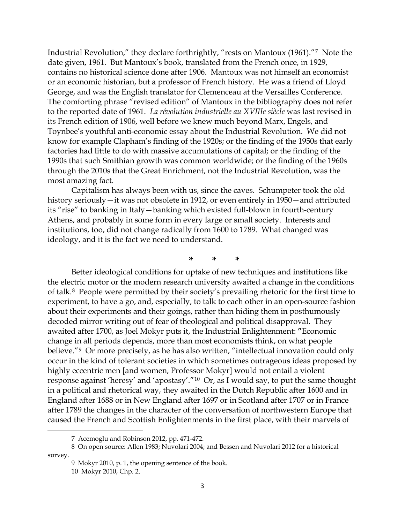Industrial Revolution," they declare forthrightly, "rests on Mantoux (1961)."[7](#page-2-0) Note the date given, 1961. But Mantoux's book, translated from the French once, in 1929, contains no historical science done after 1906. Mantoux was not himself an economist or an economic historian, but a professor of French history. He was a friend of Lloyd George, and was the English translator for Clemenceau at the Versailles Conference. The comforting phrase "revised edition" of Mantoux in the bibliography does not refer to the reported date of 1961. *La révolution industrielle au XVIIIe siècle* was last revised in its French edition of 1906, well before we knew much beyond Marx, Engels, and Toynbee's youthful anti-economic essay about the Industrial Revolution. We did not know for example Clapham's finding of the 1920s; or the finding of the 1950s that early factories had little to do with massive accumulations of capital; or the finding of the 1990s that such Smithian growth was common worldwide; or the finding of the 1960s through the 2010s that the Great Enrichment, not the Industrial Revolution, was the most amazing fact.

Capitalism has always been with us, since the caves. Schumpeter took the old history seriously—it was not obsolete in 1912, or even entirely in 1950—and attributed its "rise" to banking in Italy—banking which existed full-blown in fourth-century Athens, and probably in some form in every large or small society. Interests and institutions, too, did not change radically from 1600 to 1789. What changed was ideology, and it is the fact we need to understand.

**\* \* \***

Better ideological conditions for uptake of new techniques and institutions like the electric motor or the modern research university awaited a change in the conditions of talk.[8](#page-2-1) People were permitted by their society's prevailing rhetoric for the first time to experiment, to have a go, and, especially, to talk to each other in an open-source fashion about their experiments and their goings, rather than hiding them in posthumously decoded mirror writing out of fear of theological and political disapproval. They awaited after 1700, as Joel Mokyr puts it, the Industrial Enlightenment: **"**Economic change in all periods depends, more than most economists think, on what people believe."<sup>[9](#page-2-2)</sup> Or more precisely, as he has also written, "intellectual innovation could only occur in the kind of tolerant societies in which sometimes outrageous ideas proposed by highly eccentric men [and women, Professor Mokyr] would not entail a violent response against 'heresy' and 'apostasy'."[10](#page-2-3) Or, as I would say, to put the same thought in a political and rhetorical way, they awaited in the Dutch Republic after 1600 and in England after 1688 or in New England after 1697 or in Scotland after 1707 or in France after 1789 the changes in the character of the conversation of northwestern Europe that caused the French and Scottish Enlightenments in the first place, with their marvels of

<sup>7</sup> Acemoglu and Robinson 2012, pp. 471-472.

<span id="page-2-3"></span><span id="page-2-2"></span><span id="page-2-1"></span><span id="page-2-0"></span><sup>8</sup> On open source: Allen 1983; Nuvolari 2004; and Bessen and Nuvolari 2012 for a historical survey.

<sup>9</sup> Mokyr 2010, p. 1, the opening sentence of the book.

<sup>10</sup> Mokyr 2010, Chp. 2.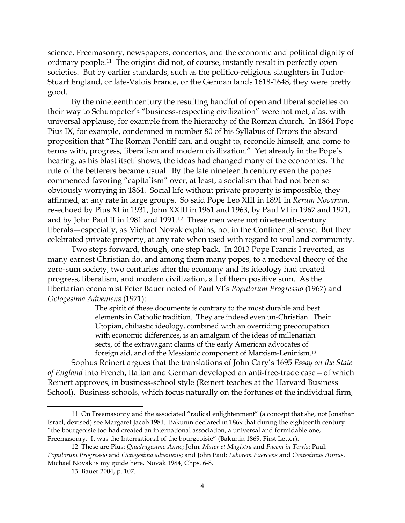science, Freemasonry, newspapers, concertos, and the economic and political dignity of ordinary people.[11](#page-3-0) The origins did not, of course, instantly result in perfectly open societies. But by earlier standards, such as the politico-religious slaughters in Tudor-Stuart England, or late-Valois France, or the German lands 1618-1648, they were pretty good.

By the nineteenth century the resulting handful of open and liberal societies on their way to Schumpeter's "business-respecting civilization" were not met, alas, with universal applause, for example from the hierarchy of the Roman church. In 1864 Pope Pius IX, for example, condemned in number 80 of his Syllabus of Errors the absurd proposition that "The Roman Pontiff can, and ought to, reconcile himself, and come to terms with, progress, liberalism and modern civilization." Yet already in the Pope's hearing, as his blast itself shows, the ideas had changed many of the economies. The rule of the betterers became usual. By the late nineteenth century even the popes commenced favoring "capitalism" over, at least, a socialism that had not been so obviously worrying in 1864. Social life without private property is impossible, they affirmed, at any rate in large groups. So said Pope Leo XIII in 1891 in *Rerum Novarum*, re-echoed by Pius XI in 1931, John XXIII in 1961 and 1963, by Paul VI in 1967 and 1971, and by John Paul II in 1981 and 1991.[12](#page-3-1) These men were not nineteenth-century liberals—especially, as Michael Novak explains, not in the Continental sense. But they celebrated private property, at any rate when used with regard to soul and community.

Two steps forward, though, one step back. In 2013 Pope Francis I reverted, as many earnest Christian do, and among them many popes, to a medieval theory of the zero-sum society, two centuries after the economy and its ideology had created progress, liberalism, and modern civilization, all of them positive sum. As the libertarian economist Peter Bauer noted of Paul VI's *Populorum Progressio* (1967) and *Octogesima Adveniens* (1971):

> The spirit of these documents is contrary to the most durable and best elements in Catholic tradition. They are indeed even un-Christian. Their Utopian, chiliastic ideology, combined with an overriding preoccupation with economic differences, is an amalgam of the ideas of millenarian sects, of the extravagant claims of the early American advocates of foreign aid, and of the Messianic component of Marxism-Leninism.[13](#page-3-2)

Sophus Reinert argues that the translations of John Cary's 1695 *Essay on the State of England* into French, Italian and German developed an anti-free-trade case—of which Reinert approves, in business-school style (Reinert teaches at the Harvard Business School). Business schools, which focus naturally on the fortunes of the individual firm,

 $\overline{\phantom{0}}$ 

<span id="page-3-0"></span><sup>11</sup> On Freemasonry and the associated "radical enlightenment" (a concept that she, not Jonathan Israel, devised) see Margaret Jacob 1981. Bakunin declared in 1869 that during the eighteenth century "the bourgeoisie too had created an international association, a universal and formidable one, Freemasonry. It was the International of the bourgeoisie" (Bakunin 1869, First Letter).

<span id="page-3-2"></span><span id="page-3-1"></span><sup>12</sup> These are Pius: *Quadragesimo Anno*; John: *Mater et Magistra* and *Pacem in Terris*; Paul: *Populorum Progressio* and *Octogesima adveniens*; and John Paul: *Laborem Exercens* and *Centesimus Annus*. Michael Novak is my guide here, Novak 1984, Chps. 6-8.

<sup>13</sup> Bauer 2004, p. 107.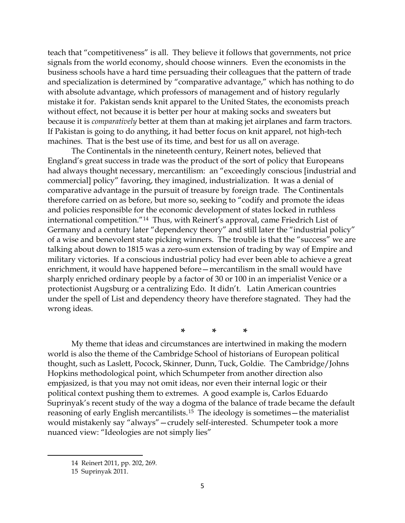teach that "competitiveness" is all. They believe it follows that governments, not price signals from the world economy, should choose winners. Even the economists in the business schools have a hard time persuading their colleagues that the pattern of trade and specialization is determined by "comparative advantage," which has nothing to do with absolute advantage, which professors of management and of history regularly mistake it for. Pakistan sends knit apparel to the United States, the economists preach without effect, not because it is better per hour at making socks and sweaters but because it is *comparatively* better at them than at making jet airplanes and farm tractors. If Pakistan is going to do anything, it had better focus on knit apparel, not high-tech machines. That is the best use of its time, and best for us all on average.

The Continentals in the nineteenth century, Reinert notes, believed that England's great success in trade was the product of the sort of policy that Europeans had always thought necessary, mercantilism: an "exceedingly conscious [industrial and commercial] policy" favoring, they imagined, industrialization. It was a denial of comparative advantage in the pursuit of treasure by foreign trade. The Continentals therefore carried on as before, but more so, seeking to "codify and promote the ideas and policies responsible for the economic development of states locked in ruthless international competition."[14](#page-4-0) Thus, with Reinert's approval, came Friedrich List of Germany and a century later "dependency theory" and still later the "industrial policy" of a wise and benevolent state picking winners. The trouble is that the "success" we are talking about down to 1815 was a zero-sum extension of trading by way of Empire and military victories. If a conscious industrial policy had ever been able to achieve a great enrichment, it would have happened before—mercantilism in the small would have sharply enriched ordinary people by a factor of 30 or 100 in an imperialist Venice or a protectionist Augsburg or a centralizing Edo. It didn't. Latin American countries under the spell of List and dependency theory have therefore stagnated. They had the wrong ideas.

**\* \* \***

My theme that ideas and circumstances are intertwined in making the modern world is also the theme of the Cambridge School of historians of European political thought, such as Laslett, Pocock, Skinner, Dunn, Tuck, Goldie. The Cambridge/Johns Hopkins methodological point, which Schumpeter from another direction also empjasized, is that you may not omit ideas, nor even their internal logic or their political context pushing them to extremes. A good example is, Carlos Eduardo Suprinyak's recent study of the way a dogma of the balance of trade became the default reasoning of early English mercantilists.[15](#page-4-1) The ideology is sometimes—the materialist would mistakenly say "always"—crudely self-interested. Schumpeter took a more nuanced view: "Ideologies are not simply lies"

<span id="page-4-0"></span><sup>14</sup> Reinert 2011, pp. 202, 269.

<span id="page-4-1"></span><sup>15</sup> Suprinyak 2011.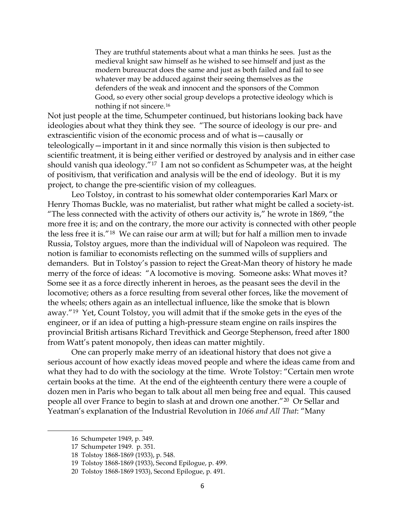They are truthful statements about what a man thinks he sees. Just as the medieval knight saw himself as he wished to see himself and just as the modern bureaucrat does the same and just as both failed and fail to see whatever may be adduced against their seeing themselves as the defenders of the weak and innocent and the sponsors of the Common Good, so every other social group develops a protective ideology which is nothing if not sincere.[16](#page-5-0)

Not just people at the time, Schumpeter continued, but historians looking back have ideologies about what they think they see. "The source of ideology is our pre- and extrascientific vision of the economic process and of what is—causally or teleologically—important in it and since normally this vision is then subjected to scientific treatment, it is being either verified or destroyed by analysis and in either case should vanish qua ideology."[17](#page-5-1) I am not so confident as Schumpeter was, at the height of positivism, that verification and analysis will be the end of ideology. But it is my project, to change the pre-scientific vision of my colleagues.

Leo Tolstoy, in contrast to his somewhat older contemporaries Karl Marx or Henry Thomas Buckle, was no materialist, but rather what might be called a society-ist. "The less connected with the activity of others our activity is," he wrote in 1869, "the more free it is; and on the contrary, the more our activity is connected with other people the less free it is."[18](#page-5-2) We can raise our arm at will; but for half a million men to invade Russia, Tolstoy argues, more than the individual will of Napoleon was required. The notion is familiar to economists reflecting on the summed wills of suppliers and demanders. But in Tolstoy's passion to reject the Great-Man theory of history he made merry of the force of ideas: "A locomotive is moving. Someone asks: What moves it? Some see it as a force directly inherent in heroes, as the peasant sees the devil in the locomotive; others as a force resulting from several other forces, like the movement of the wheels; others again as an intellectual influence, like the smoke that is blown away."[19](#page-5-3) Yet, Count Tolstoy, you will admit that if the smoke gets in the eyes of the engineer, or if an idea of putting a high-pressure steam engine on rails inspires the provincial British artisans Richard Trevithick and George Stephenson, freed after 1800 from Watt's patent monopoly, then ideas can matter mightily.

One can properly make merry of an ideational history that does not give a serious account of how exactly ideas moved people and where the ideas came from and what they had to do with the sociology at the time. Wrote Tolstoy: "Certain men wrote certain books at the time. At the end of the eighteenth century there were a couple of dozen men in Paris who began to talk about all men being free and equal. This caused people all over France to begin to slash at and drown one another."[20](#page-5-4) Or Sellar and Yeatman's explanation of the Industrial Revolution in *1066 and All That*: "Many

<span id="page-5-0"></span><sup>16</sup> Schumpeter 1949, p. 349.

<span id="page-5-1"></span><sup>17</sup> Schumpeter 1949. p. 351.

<span id="page-5-2"></span><sup>18</sup> Tolstoy 1868-1869 (1933), p. 548.

<span id="page-5-3"></span><sup>19</sup> Tolstoy 1868-1869 (1933), Second Epilogue, p. 499.

<span id="page-5-4"></span><sup>20</sup> Tolstoy 1868-1869 1933), Second Epilogue, p. 491.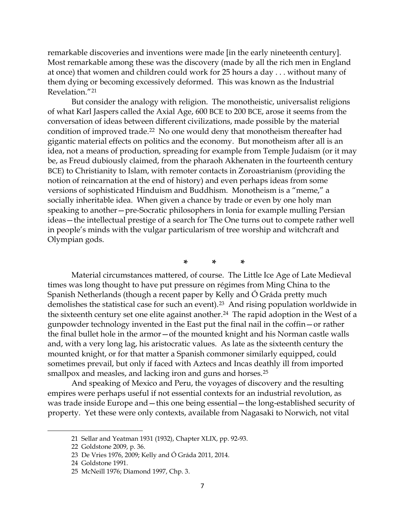remarkable discoveries and inventions were made [in the early nineteenth century]. Most remarkable among these was the discovery (made by all the rich men in England at once) that women and children could work for 25 hours a day . . . without many of them dying or becoming excessively deformed. This was known as the Industrial Revelation."[21](#page-6-0)

But consider the analogy with religion. The monotheistic, universalist religions of what Karl Jaspers called the Axial Age, 600 BCE to 200 BCE, arose it seems from the conversation of ideas between different civilizations, made possible by the material condition of improved trade.[22](#page-6-1) No one would deny that monotheism thereafter had gigantic material effects on politics and the economy. But monotheism after all is an idea, not a means of production, spreading for example from Temple Judaism (or it may be, as Freud dubiously claimed, from the pharaoh Akhenaten in the fourteenth century BCE) to Christianity to Islam, with remoter contacts in Zoroastrianism (providing the notion of reincarnation at the end of history) and even perhaps ideas from some versions of sophisticated Hinduism and Buddhism. Monotheism is a "meme," a socially inheritable idea. When given a chance by trade or even by one holy man speaking to another—pre-Socratic philosophers in Ionia for example mulling Persian ideas—the intellectual prestige of a search for The One turns out to compete rather well in people's minds with the vulgar particularism of tree worship and witchcraft and Olympian gods.

**\* \* \***

Material circumstances mattered, of course. The Little Ice Age of Late Medieval times was long thought to have put pressure on régimes from Ming China to the Spanish Netherlands (though a recent paper by Kelly and Ó Gráda pretty much demolishes the statistical case for such an event).[23](#page-6-2) And rising population worldwide in the sixteenth century set one elite against another.<sup>[24](#page-6-3)</sup> The rapid adoption in the West of a gunpowder technology invented in the East put the final nail in the coffin—or rather the final bullet hole in the armor—of the mounted knight and his Norman castle walls and, with a very long lag, his aristocratic values. As late as the sixteenth century the mounted knight, or for that matter a Spanish commoner similarly equipped, could sometimes prevail, but only if faced with Aztecs and Incas deathly ill from imported smallpox and measles, and lacking iron and guns and horses.<sup>25</sup>

And speaking of Mexico and Peru, the voyages of discovery and the resulting empires were perhaps useful if not essential contexts for an industrial revolution, as was trade inside Europe and—this one being essential—the long-established security of property. Yet these were only contexts, available from Nagasaki to Norwich, not vital

<span id="page-6-0"></span><sup>21</sup> Sellar and Yeatman 1931 (1932), Chapter XLIX, pp. 92-93.

<span id="page-6-1"></span><sup>22</sup> Goldstone 2009, p. 36.

<span id="page-6-2"></span><sup>23</sup> De Vries 1976, 2009; Kelly and Ó Gráda 2011, 2014.

<span id="page-6-3"></span><sup>24</sup> Goldstone 1991.

<span id="page-6-4"></span><sup>25</sup> McNeill 1976; Diamond 1997, Chp. 3.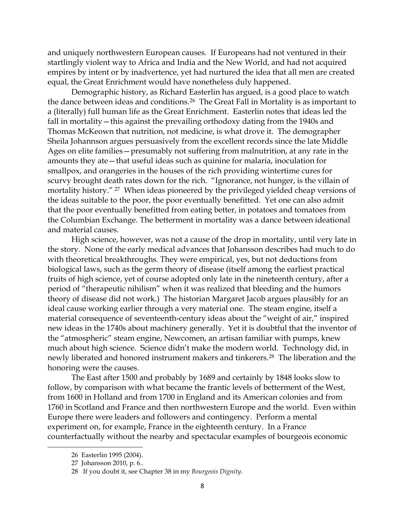and uniquely northwestern European causes. If Europeans had not ventured in their startlingly violent way to Africa and India and the New World, and had not acquired empires by intent or by inadvertence, yet had nurtured the idea that all men are created equal, the Great Enrichment would have nonetheless duly happened.

Demographic history, as Richard Easterlin has argued, is a good place to watch the dance between ideas and conditions.[26](#page-7-0) The Great Fall in Mortality is as important to a (literally) full human life as the Great Enrichment. Easterlin notes that ideas led the fall in mortality—this against the prevailing orthodoxy dating from the 1940s and Thomas McKeown that nutrition, not medicine, is what drove it. The demographer Sheila Johannson argues persuasively from the excellent records since the late Middle Ages on elite families—presumably not suffering from malnutrition, at any rate in the amounts they ate—that useful ideas such as quinine for malaria, inoculation for smallpox, and orangeries in the houses of the rich providing wintertime cures for scurvy brought death rates down for the rich. "Ignorance, not hunger, is the villain of mortality history." [27](#page-7-1) When ideas pioneered by the privileged yielded cheap versions of the ideas suitable to the poor, the poor eventually benefitted. Yet one can also admit that the poor eventually benefitted from eating better, in potatoes and tomatoes from the Columbian Exchange. The betterment in mortality was a dance between ideational and material causes.

High science, however, was not a cause of the drop in mortality, until very late in the story. None of the early medical advances that Johansson describes had much to do with theoretical breakthroughs. They were empirical, yes, but not deductions from biological laws, such as the germ theory of disease (itself among the earliest practical fruits of high science, yet of course adopted only late in the nineteenth century, after a period of "therapeutic nihilism" when it was realized that bleeding and the humors theory of disease did not work.) The historian Margaret Jacob argues plausibly for an ideal cause working earlier through a very material one. The steam engine, itself a material consequence of seventeenth-century ideas about the "weight of air," inspired new ideas in the 1740s about machinery generally. Yet it is doubtful that the inventor of the "atmospheric" steam engine, Newcomen, an artisan familiar with pumps, knew much about high science. Science didn't make the modern world. Technology did, in newly liberated and honored instrument makers and tinkerers.[28](#page-7-2) The liberation and the honoring were the causes.

The East after 1500 and probably by 1689 and certainly by 1848 looks slow to follow, by comparison with what became the frantic levels of betterment of the West, from 1600 in Holland and from 1700 in England and its American colonies and from 1760 in Scotland and France and then northwestern Europe and the world. Even within Europe there were leaders and followers and contingency. Perform a mental experiment on, for example, France in the eighteenth century. In a France counterfactually without the nearby and spectacular examples of bourgeois economic

<span id="page-7-1"></span><span id="page-7-0"></span><sup>26</sup> Easterlin 1995 (2004).

<span id="page-7-2"></span><sup>27</sup> Johansson 2010, p. 6..

<sup>28</sup> If you doubt it, see Chapter 38 in my *Bourgeois Dignity*.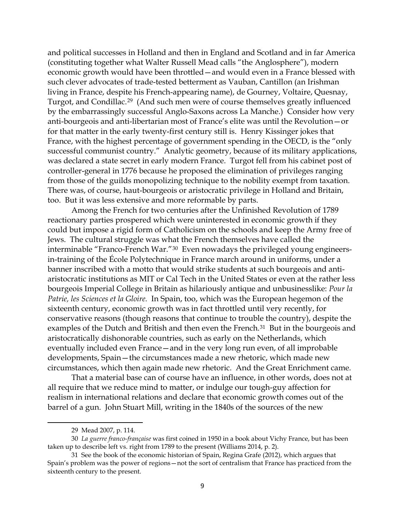and political successes in Holland and then in England and Scotland and in far America (constituting together what Walter Russell Mead calls "the Anglosphere"), modern economic growth would have been throttled—and would even in a France blessed with such clever advocates of trade-tested betterment as Vauban, Cantillon (an Irishman living in France, despite his French-appearing name), de Gourney, Voltaire, Quesnay, Turgot, and Condillac.[29](#page-8-0) (And such men were of course themselves greatly influenced by the embarrassingly successful Anglo-Saxons across La Manche.) Consider how very anti-bourgeois and anti-libertarian most of France's elite was until the Revolution—or for that matter in the early twenty-first century still is. Henry Kissinger jokes that France, with the highest percentage of government spending in the OECD, is the "only successful communist country." Analytic geometry, because of its military applications, was declared a state secret in early modern France. Turgot fell from his cabinet post of controller-general in 1776 because he proposed the elimination of privileges ranging from those of the guilds monopolizing technique to the nobility exempt from taxation. There was, of course, haut-bourgeois or aristocratic privilege in Holland and Britain, too. But it was less extensive and more reformable by parts.

Among the French for two centuries after the Unfinished Revolution of 1789 reactionary parties prospered which were uninterested in economic growth if they could but impose a rigid form of Catholicism on the schools and keep the Army free of Jews. The cultural struggle was what the French themselves have called the interminable "Franco-French War."[30](#page-8-1) Even nowadays the privileged young engineersin-training of the École Polytechnique in France march around in uniforms, under a banner inscribed with a motto that would strike students at such bourgeois and antiaristocratic institutions as MIT or Cal Tech in the United States or even at the rather less bourgeois Imperial College in Britain as hilariously antique and unbusinesslike: *Pour la Patrie, les Sciences et la Gloire.* In Spain, too, which was the European hegemon of the sixteenth century, economic growth was in fact throttled until very recently, for conservative reasons (though reasons that continue to trouble the country), despite the examples of the Dutch and British and then even the French.<sup>[31](#page-8-2)</sup> But in the bourgeois and aristocratically dishonorable countries, such as early on the Netherlands, which eventually included even France—and in the very long run even, of all improbable developments, Spain—the circumstances made a new rhetoric, which made new circumstances, which then again made new rhetoric. And the Great Enrichment came.

That a material base can of course have an influence, in other words, does not at all require that we reduce mind to matter, or indulge our tough-guy affection for realism in international relations and declare that economic growth comes out of the barrel of a gun. John Stuart Mill, writing in the 1840s of the sources of the new

<sup>29</sup> Mead 2007, p. 114.

<span id="page-8-1"></span><span id="page-8-0"></span><sup>30</sup> *La guerre franco-française* was first coined in 1950 in a book about Vichy France, but has been taken up to describe left vs. right from 1789 to the present (Williams 2014, p. 2).

<span id="page-8-2"></span><sup>31</sup> See the book of the economic historian of Spain, Regina Grafe (2012), which argues that Spain's problem was the power of regions—not the sort of centralism that France has practiced from the sixteenth century to the present.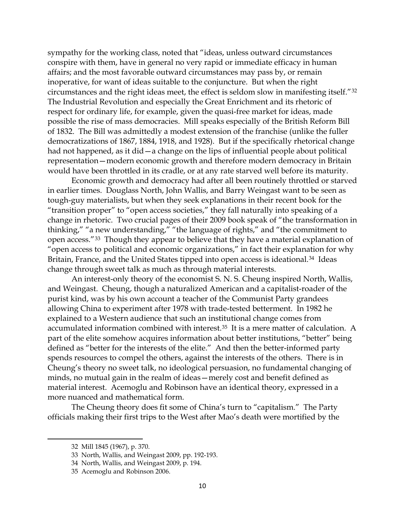sympathy for the working class, noted that "ideas, unless outward circumstances conspire with them, have in general no very rapid or immediate efficacy in human affairs; and the most favorable outward circumstances may pass by, or remain inoperative, for want of ideas suitable to the conjuncture. But when the right circumstances and the right ideas meet, the effect is seldom slow in manifesting itself."[32](#page-9-0) The Industrial Revolution and especially the Great Enrichment and its rhetoric of respect for ordinary life, for example, given the quasi-free market for ideas, made possible the rise of mass democracies. Mill speaks especially of the British Reform Bill of 1832. The Bill was admittedly a modest extension of the franchise (unlike the fuller democratizations of 1867, 1884, 1918, and 1928). But if the specifically rhetorical change had not happened, as it did — a change on the lips of influential people about political representation—modern economic growth and therefore modern democracy in Britain would have been throttled in its cradle, or at any rate starved well before its maturity.

Economic growth and democracy had after all been routinely throttled or starved in earlier times. Douglass North, John Wallis, and Barry Weingast want to be seen as tough-guy materialists, but when they seek explanations in their recent book for the "transition proper" to "open access societies," they fall naturally into speaking of a change in rhetoric. Two crucial pages of their 2009 book speak of "the transformation in thinking," "a new understanding," "the language of rights," and "the commitment to open access."[33](#page-9-1) Though they appear to believe that they have a material explanation of "open access to political and economic organizations," in fact their explanation for why Britain, France, and the United States tipped into open access is ideational.<sup>[34](#page-9-2)</sup> Ideas change through sweet talk as much as through material interests.

An interest-only theory of the economist S. N. S. Cheung inspired North, Wallis, and Weingast. Cheung, though a naturalized American and a capitalist-roader of the purist kind, was by his own account a teacher of the Communist Party grandees allowing China to experiment after 1978 with trade-tested betterment. In 1982 he explained to a Western audience that such an institutional change comes from accumulated information combined with interest.[35](#page-9-3) It is a mere matter of calculation. A part of the elite somehow acquires information about better institutions, "better" being defined as "better for the interests of the elite." And then the better-informed party spends resources to compel the others, against the interests of the others. There is in Cheung's theory no sweet talk, no ideological persuasion, no fundamental changing of minds, no mutual gain in the realm of ideas—merely cost and benefit defined as material interest. Acemoglu and Robinson have an identical theory, expressed in a more nuanced and mathematical form.

<span id="page-9-1"></span><span id="page-9-0"></span>The Cheung theory does fit some of China's turn to "capitalism." The Party officials making their first trips to the West after Mao's death were mortified by the

<sup>32</sup> Mill 1845 (1967), p. 370.

<sup>33</sup> North, Wallis, and Weingast 2009, pp. 192-193.

<span id="page-9-2"></span><sup>34</sup> North, Wallis, and Weingast 2009, p. 194.

<span id="page-9-3"></span><sup>35</sup> Acemoglu and Robinson 2006.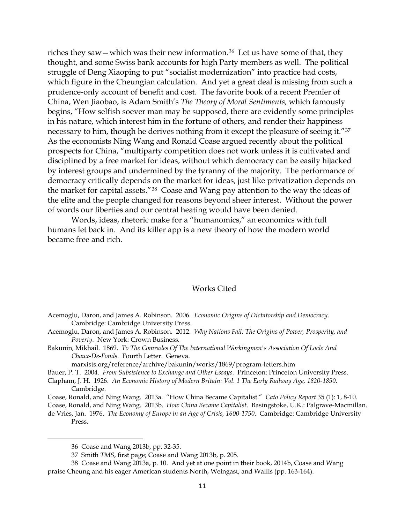riches they saw—which was their new information.<sup>[36](#page-10-0)</sup> Let us have some of that, they thought, and some Swiss bank accounts for high Party members as well. The political struggle of Deng Xiaoping to put "socialist modernization" into practice had costs, which figure in the Cheungian calculation. And yet a great deal is missing from such a prudence-only account of benefit and cost. The favorite book of a recent Premier of China, Wen Jiaobao, is Adam Smith's *The Theory of Moral Sentiments,* which famously begins, "How selfish soever man may be supposed, there are evidently some principles in his nature, which interest him in the fortune of others, and render their happiness necessary to him, though he derives nothing from it except the pleasure of seeing it."[37](#page-10-1) As the economists Ning Wang and Ronald Coase argued recently about the political prospects for China, "multiparty competition does not work unless it is cultivated and disciplined by a free market for ideas, without which democracy can be easily hijacked by interest groups and undermined by the tyranny of the majority. The performance of democracy critically depends on the market for ideas, just like privatization depends on the market for capital assets."[38](#page-10-2) Coase and Wang pay attention to the way the ideas of the elite and the people changed for reasons beyond sheer interest. Without the power of words our liberties and our central heating would have been denied.

Words, ideas, rhetoric make for a "humanomics," an economics with full humans let back in. And its killer app is a new theory of how the modern world became free and rich.

## Works Cited

Acemoglu, Daron, and James A. Robinson. 2012. *Why Nations Fail: The Origins of Power, Prosperity, and Poverty.* New York: Crown Business.

Bakunin, Mikhail. 1869. *To The Comrades Of The International Workingmen's Association Of Locle And Chaux-De-Fonds*. Fourth Letter. Geneva.

marxists.org/reference/archive/bakunin/works/1869/program-letters.htm

Bauer, P. T. 2004. *From Subsistence to Exchange and Other Essays.* Princeton: Princeton University Press.

- Clapham, J. H. 1926. *An Economic History of Modern Britain: Vol. 1 The Early Railway Age, 1820-1850*. Cambridge.
- Coase, Ronald, and Ning Wang. 2013a. "How China Became Capitalist." *Cato Policy Report* 35 (1): 1, 8-10.

Coase, Ronald, and Ning Wang. 2013b. *How China Became Capitalist*. Basingstoke, U.K.: Palgrave-Macmillan.

de Vries, Jan. 1976. *The Economy of Europe in an Age of Crisis, 1600-1750*. Cambridge: Cambridge University Press.

Acemoglu, Daron, and James A. Robinson. 2006. *Economic Origins of Dictatorship and Democracy*. Cambridge: Cambridge University Press.

<sup>36</sup> Coase and Wang 2013b, pp. 32-35.

<sup>37</sup> Smith *TMS*, first page; Coase and Wang 2013b, p. 205.

<span id="page-10-2"></span><span id="page-10-1"></span><span id="page-10-0"></span><sup>38</sup> Coase and Wang 2013a, p. 10. And yet at one point in their book, 2014b, Coase and Wang praise Cheung and his eager American students North, Weingast, and Wallis (pp. 163-164).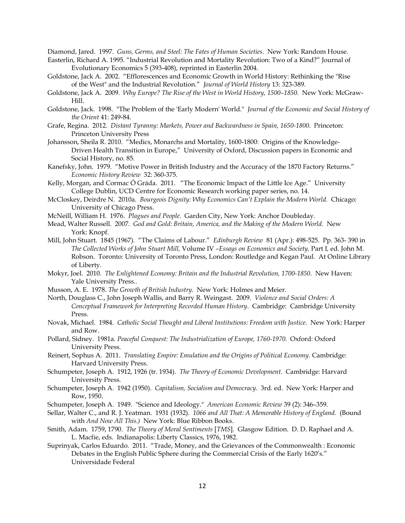Diamond, Jared. 1997. *Guns, Germs, and Steel: The Fates of Human Societies*. New York: Random House.

- Easterlin, Richard A. 1995. "Industrial Revolution and Mortality Revolution: Two of a Kind?" Journal of Evolutionary Economics 5 (393-408), reprinted in Easterlin 2004.
- Goldstone, Jack A. 2002. "Efflorescences and Economic Growth in World History: Rethinking the "Rise of the West" and the Industrial Revolution." *Journal of World History* 13: 323-389.
- Goldstone, Jack A. 2009. *Why Europe? The Rise of the West in World History, 1500–1850.* New York: McGraw-Hill.
- Goldstone, Jack. 1998. "The Problem of the 'Early Modern' World." *Journal of the Economic and Social History of the Orient* 41: 249-84.
- Grafe, Regina. 2012. *Distant Tyranny: Markets, Power and Backwardness in Spain, 1650-1800*. Princeton: Princeton University Press
- Johansson, Sheila R. 2010. "Medics, Monarchs and Mortality, 1600-1800: Origins of the Knowledge-Driven Health Transition in Europe," University of Oxford, Discussion papers in Economic and Social History, no. 85.
- Kanefsky, John. 1979. "Motive Power in British Industry and the Accuracy of the 1870 Factory Returns." *Economic History Review* 32: 360-375.
- Kelly, Morgan, and Cormac Ó Gráda. 2011. "The Economic Impact of the Little Ice Age." University College Dublin, UCD Centre for Economic Research working paper series, no. 14.
- McCloskey, Deirdre N. 2010a. *Bourgeois Dignity: Why Economics Can't Explain the Modern World.* Chicago: University of Chicago Press.
- McNeill, William H. 1976. *Plagues and People.* Garden City, New York: Anchor Doubleday.
- Mead, Walter Russell. 2007. *God and Gold: Britain, America, and the Making of the Modern World.* New York: Knopf.
- Mill, John Stuart. 1845 (1967). "The Claims of Labour." *Edinburgh Review* 81 (Apr.): 498-525. Pp. 363- 390 in *The Collected Works of John Stuart Mill,* Volume IV *–Essays on Economics and Society,* Part I*,* ed. John M. Robson. Toronto: University of Toronto Press, London: Routledge and Kegan Paul. At Online Library of Liberty.
- Mokyr, Joel. 2010. *The Enlightened Economy: Britain and the Industrial Revolution, 1700-1850*. New Haven: Yale University Press..
- Musson, A. E. 1978. *The Growth of British Industry.* New York: Holmes and Meier.
- North, Douglass C., John Joseph Wallis, and Barry R. Weingast. 2009. *Violence and Social Orders: A Conceptual Framework for Interpreting Recorded Human History*. Cambridge: Cambridge University Press.
- Novak, Michael. 1984. *Catholic Social Thought and Liberal Institutions: Freedom with Justice*. New York: Harper and Row.
- Pollard, Sidney. 1981a. *Peaceful Conquest: The Industrialization of Europe, 1760-1970.* Oxford: Oxford University Press.
- Reinert, Sophus A. 2011. *Translating Empire: Emulation and the Origins of Political Economy*. Cambridge: Harvard University Press.
- Schumpeter, Joseph A. 1912, 1926 (tr. 1934). *The Theory of Economic Development*. Cambridge: Harvard University Press.
- Schumpeter, Joseph A. 1942 (1950). *Capitalism, Socialism and Democracy*. 3rd. ed. New York: Harper and Row, 1950.
- Schumpeter, Joseph A. 1949. "Science and Ideology." *American Economic Review* 39 (2): 346–359.
- Sellar, Walter C., and R. J. Yeatman. 1931 (1932). *1066 and All That: A Memorable History of England.* (Bound with *And Now All This.)* New York: Blue Ribbon Books.
- Smith, Adam. 1759, 1790. *The Theory of Moral Sentiments* [*TMS*]*.* Glasgow Edition. D. D. Raphael and A. L. Macfie, eds. Indianapolis: Liberty Classics, 1976, 1982.
- Suprinyak, Carlos Eduardo. 2011. "Trade, Money, and the Grievances of the Commonwealth : Economic Debates in the English Public Sphere during the Commercial Crisis of the Early 1620's." Universidade Federal